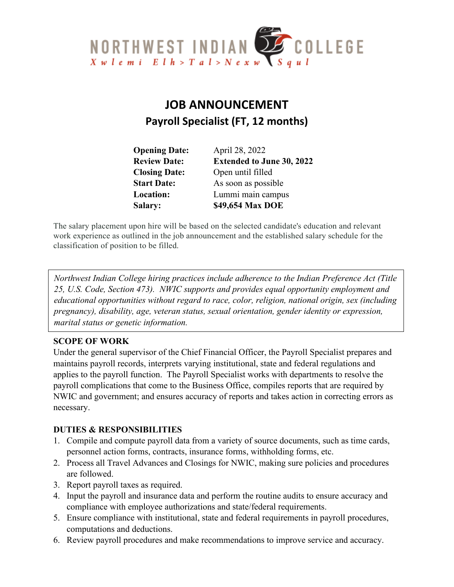

# **JOB ANNOUNCEMENT Payroll Specialist (FT, 12 months)**

| <b>Opening Date:</b> | April 28, 2022                   |
|----------------------|----------------------------------|
| <b>Review Date:</b>  | <b>Extended to June 30, 2022</b> |
| <b>Closing Date:</b> | Open until filled                |
| <b>Start Date:</b>   | As soon as possible              |
| <b>Location:</b>     | Lummi main campus                |
| <b>Salary:</b>       | \$49,654 Max DOE                 |

The salary placement upon hire will be based on the selected candidate's education and relevant work experience as outlined in the job announcement and the established salary schedule for the classification of position to be filled.

*Northwest Indian College hiring practices include adherence to the Indian Preference Act (Title 25, U.S. Code, Section 473). NWIC supports and provides equal opportunity employment and educational opportunities without regard to race, color, religion, national origin, sex (including pregnancy), disability, age, veteran status, sexual orientation, gender identity or expression, marital status or genetic information.*

# **SCOPE OF WORK**

Under the general supervisor of the Chief Financial Officer, the Payroll Specialist prepares and maintains payroll records, interprets varying institutional, state and federal regulations and applies to the payroll function. The Payroll Specialist works with departments to resolve the payroll complications that come to the Business Office, compiles reports that are required by NWIC and government; and ensures accuracy of reports and takes action in correcting errors as necessary.

#### **DUTIES & RESPONSIBILITIES**

- 1. Compile and compute payroll data from a variety of source documents, such as time cards, personnel action forms, contracts, insurance forms, withholding forms, etc.
- 2. Process all Travel Advances and Closings for NWIC, making sure policies and procedures are followed.
- 3. Report payroll taxes as required.
- 4. Input the payroll and insurance data and perform the routine audits to ensure accuracy and compliance with employee authorizations and state/federal requirements.
- 5. Ensure compliance with institutional, state and federal requirements in payroll procedures, computations and deductions.
- 6. Review payroll procedures and make recommendations to improve service and accuracy.